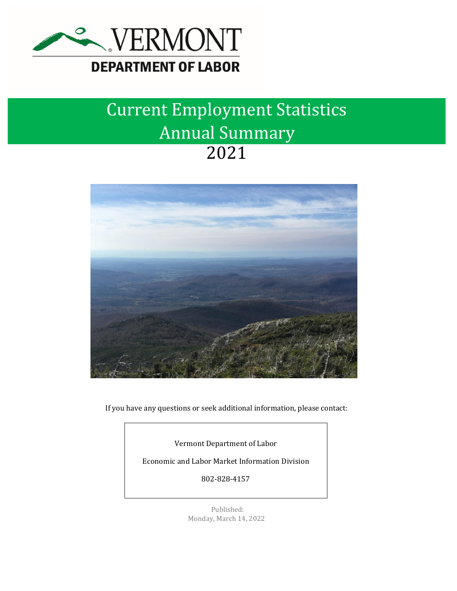

# Annual Summary 2021 Current Employment Statistics



If you have any questions or seek additional information, please contact:

Vermont Department of Labor

Economic and Labor Market Information Division

802-828-4157

Published: Monday, March 14, 2022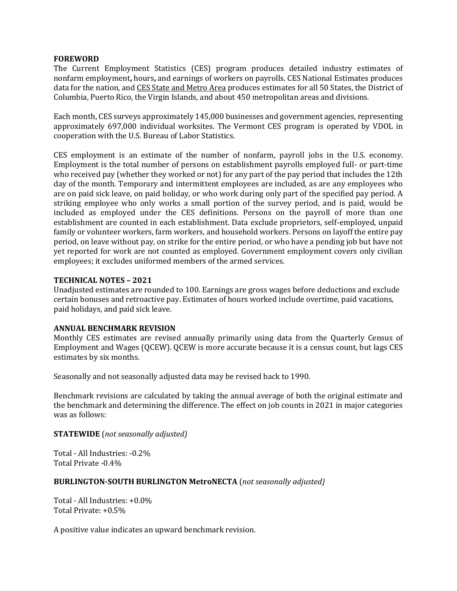#### **FOREWORD**

The Current Employment Statistics (CES) program produces detailed industry estimates of nonfarm employment**,** hours**,** and earnings of workers on payrolls. CES National Estimates produces data for the nation, and [CES State and Metro Area](https://www.bls.gov/sae/) produces estimates for all 50 States, the District of Columbia, Puerto Rico, the Virgin Islands, and about 450 metropolitan areas and divisions.

Each month, CES surveys approximately 145,000 businesses and government agencies, representing approximately 697,000 individual worksites. The Vermont CES program is operated by VDOL in cooperation with the U.S. Bureau of Labor Statistics.

CES employment is an estimate of the number of nonfarm, payroll jobs in the U.S. economy. Employment is the total number of persons on establishment payrolls employed full- or part-time who received pay (whether they worked or not) for any part of the pay period that includes the 12th day of the month. Temporary and intermittent employees are included, as are any employees who are on paid sick leave, on paid holiday, or who work during only part of the specified pay period. A striking employee who only works a small portion of the survey period, and is paid, would be included as employed under the CES definitions. Persons on the payroll of more than one establishment are counted in each establishment. Data exclude proprietors, self-employed, unpaid family or volunteer workers, farm workers, and household workers. Persons on layoff the entire pay period, on leave without pay, on strike for the entire period, or who have a pending job but have not yet reported for work are not counted as employed. Government employment covers only civilian employees; it excludes uniformed members of the armed services.

#### **TECHNICAL NOTES – 2021**

Unadjusted estimates are rounded to 100. Earnings are gross wages before deductions and exclude certain bonuses and retroactive pay. Estimates of hours worked include overtime, paid vacations, paid holidays, and paid sick leave.

### **ANNUAL BENCHMARK REVISION**

Monthly CES estimates are revised annually primarily using data from the Quarterly Census of Employment and Wages (QCEW). QCEW is more accurate because it is a census count, but lags CES estimates by six months.

Seasonally and not seasonally adjusted data may be revised back to 1990.

Benchmark revisions are calculated by taking the annual average of both the original estimate and the benchmark and determining the difference. The effect on job counts in 2021 in major categories was as follows:

### **STATEWIDE** (*not seasonally adjusted)*

Total - All Industries: -0.2% Total Private -0.4%

#### **BURLINGTON-SOUTH BURLINGTON MetroNECTA** (*not seasonally adjusted)*

Total - All Industries: +0.0% Total Private: +0.5%

A positive value indicates an upward benchmark revision.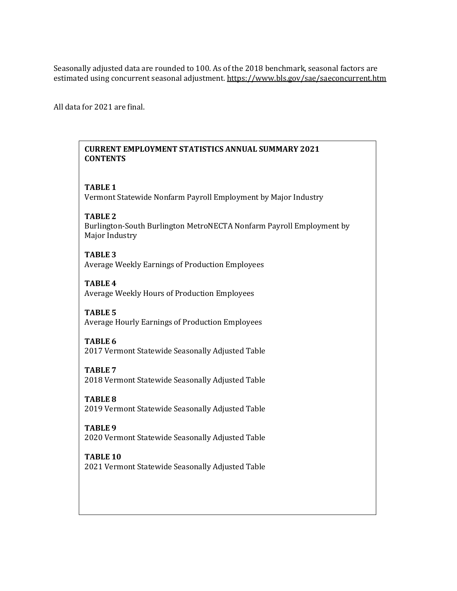Seasonally adjusted data are rounded to 100. As of the 2018 benchmark, seasonal factors are estimated using concurrent seasonal adjustment.<https://www.bls.gov/sae/saeconcurrent.htm>

All data for 2021 are final.

# **CURRENT EMPLOYMENT STATISTICS ANNUAL SUMMARY 2021 CONTENTS**

### **TABLE 1**

Vermont Statewide Nonfarm Payroll Employment by Major Industry

## **TABLE 2**

Burlington-South Burlington MetroNECTA Nonfarm Payroll Employment by Major Industry

## **TABLE 3**

Average Weekly Earnings of Production Employees

**TABLE 4** Average Weekly Hours of Production Employees

**TABLE 5** Average Hourly Earnings of Production Employees

## **TABLE 6**

2017 Vermont Statewide Seasonally Adjusted Table

**TABLE 7** 2018 Vermont Statewide Seasonally Adjusted Table

**TABLE 8** 2019 Vermont Statewide Seasonally Adjusted Table

**TABLE 9** 2020 Vermont Statewide Seasonally Adjusted Table

**TABLE 10** 2021 Vermont Statewide Seasonally Adjusted Table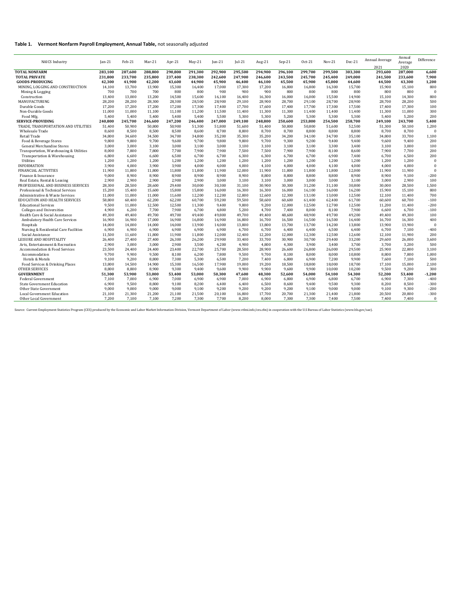#### **Table 1. Vermont Nonfarm Payroll Employment, Annual Table,** not seasonally adjusted

| <b>NAICS Industry</b>                   | $Jan-21$ | Feb-21  | Mar-21  | Apr-21  | May-21  | $ un-21 $ | $ ul-21$ | Aug-21  | $Sep-21$ | Oct-21  | Nov-21  | Dec-21  | Annual Average | Annual<br>Average | Difference |
|-----------------------------------------|----------|---------|---------|---------|---------|-----------|----------|---------|----------|---------|---------|---------|----------------|-------------------|------------|
|                                         |          |         |         |         |         |           |          |         |          |         |         |         | 2021           | 2020              |            |
| <b>TOTAL NONFARM</b>                    | 283.100  | 287.600 | 288.800 | 290.800 | 291.300 | 292.900   | 295.500  | 294.900 | 296.100  | 299.700 | 299,500 | 303.300 | 293,600        | 287,000           | 6.600      |
| <b>TOTAL PRIVATE</b>                    | 231,800  | 233,700 | 235,800 | 237,400 | 238,300 | 242,600   | 247,900  | 246,600 | 243,500  | 245,700 | 245,400 | 249,000 | 241,500        | 233,600           | 7,900      |
| <b>GOODS-PRODUCING</b>                  | 42,300   | 41,900  | 42,200  | 43,600  | 44,900  | 45,900    | 46,400   | 46,100  | 45,500   | 45,900  | 45,000  | 44,600  | 44,500         | 43,300            | 1,200      |
| MINING, LOGGING AND CONSTRUCTION        | 14,100   | 13,700  | 13,900  | 15,300  | 16,400  | 17,000    | 17,300   | 17,200  | 16,800   | 16,800  | 16,300  | 15,700  | 15,900         | 15,100            | 800        |
| Mining & Logging                        | 700      | 700     | 700     | 800     | 800     | 900       | 900      | 900     | 800      | 800     | 800     | 800     | 800            | 800               | $\Omega$   |
| Construction                            | 13,400   | 13,000  | 13,200  | 14,500  | 15,600  | 16,100    | 16,400   | 16,300  | 16,000   | 16,000  | 15,500  | 14,900  | 15,100         | 14,300            | 800        |
| MANUFACTURING                           | 28,200   | 28,200  | 28,300  | 28,300  | 28,500  | 28,900    | 29,100   | 28,900  | 28,700   | 29,100  | 28,700  | 28,900  | 28,700         | 28,200            | 500        |
| Durable Goods                           | 17,200   | 17,200  | 17,200  | 17,200  | 17,300  | 17,400    | 17,700   | 17,600  | 17,400   | 17,700  | 17,300  | 17,500  | 17,400         | 17,300            | 100        |
| Non-Durable Goods                       | 11,000   | 11,000  | 11,100  | 11,100  | 11,200  | 11,500    | 11,400   | 11,300  | 11,300   | 11,400  | 11,400  | 11,400  | 11,300         | 11,000            | 300        |
| Food Mfg.                               | 5,400    | 5,400   | 5.400   | 5.400   | 5,400   | 5,500     | 5,300    | 5,300   | 5,200    | 5,300   | 5,300   | 5,300   | 5,400          | 5,200             | 200        |
| <b>SERVICE-PROVIDING</b>                | 240.800  | 245,700 | 246,600 | 247,200 | 246.400 | 247.000   | 249.100  | 248.800 | 250.600  | 253,800 | 254,500 | 258,700 | 249.100        | 243,700           | 5.400      |
| TRADE, TRANSPORTATION AND UTILITIES     | 51,400   | 50,900  | 50,800  | 50,900  | 51,300  | 51,800    | 51,600   | 51,400  | 50,800   | 50,800  | 51,600  | 52,500  | 51,300         | 50,100            | 1,200      |
| <b>Wholesale Trade</b>                  | 8,600    | 8,500   | 8,500   | 8,500   | 8,600   | 8,700     | 8,800    | 8,700   | 8,700    | 8,800   | 8,800   | 8,800   | 8,700          | 8,700             | $\Omega$   |
| Retail Trade                            | 34,800   | 34,600  | 34,500  | 34,700  | 34,800  | 35,200    | 35,300   | 35,200  | 34,200   | 34,100  | 34,700  | 35,100  | 34,800         | 33,700            | 1,100      |
| Food & Beverage Stores                  | 9,800    | 9,800   | 9,700   | 9,600   | 9,700   | 9,800     | 9,800    | 9,700   | 9,300    | 9,200   | 9,400   | 9,400   | 9,600          | 9,400             | 200        |
| General Merchandise Stores              | 3,000    | 3,000   | 3,100   | 3,000   | 3,100   | 3,000     | 3,100    | 3,100   | 3,100    | 3,100   | 3,300   | 3,400   | 3,100          | 3,000             | 100        |
| Transportation, Warehousing & Utilities | 8.000    | 7,800   | 7.800   | 7,700   | 7.900   | 7,900     | 7,500    | 7,500   | 7.900    | 7.900   | 8,100   | 8,600   | 7,900          | 7,700             | 200        |
| Transportation & Warehousing            | 6.800    | 6,600   | 6,600   | 6,500   | 6,700   | 6,700     | 6,300    | 6,300   | 6,700    | 6,700   | 6,900   | 7,400   | 6.700          | 6.500             | 200        |
| Utilities                               | 1.200    | 1,200   | 1,200   | 1,200   | 1,200   | 1,200     | 1,200    | 1,200   | 1,200    | 1,200   | 1,200   | 1,200   | 1,200          | 1,200             | $\bf{0}$   |
| <b>INFORMATION</b>                      | 3,900    | 4,000   | 3,900   | 3,900   | 4,000   | 4,000     | 4,000    | 4,100   | 4,000    | 4,000   | 4,100   | 4,000   | 4,000          | 4,000             | $\bf{0}$   |
| <b>FINANCIAL ACTIVITIES</b>             | 11,900   | 11,800  | 11,800  | 11,800  | 11,800  | 11,900    | 12,000   | 11,900  | 11,800   | 11,800  | 11,800  | 12,000  | 11,900         | 11,900            | $\bf{0}$   |
| Finance & Insurance                     | 9,000    | 8,900   | 8,900   | 8,900   | 8,900   | 8,900     | 8,900    | 8,800   | 8,800    | 8,800   | 8,800   | 8,900   | 8,900          | 9,100             | $-200$     |
| Real Estate, Rental & Leasing           | 2,900    | 2,900   | 2,900   | 2,900   | 2,900   | 3,000     | 3,100    | 3,100   | 3,000    | 3,000   | 3,000   | 3,100   | 3,000          | 2,900             | 100        |
| PROFESSIONAL AND BUSINESS SERVICES      | 28,300   | 28,500  | 28,600  | 29,400  | 30,000  | 30,300    | 31,100   | 30,900  | 30,300   | 31,200  | 31,100  | 30,800  | 30,000         | 28,500            | 1,500      |
| Professional & Technical Services       | 15,200   | 15,400  | 15,600  | 15,800  | 15,800  | 16,000    | 16,300   | 16,300  | 16,000   | 16,100  | 16,000  | 16,200  | 15,900         | 15,100            | 800        |
| Administrative & Waste Services         | 11,000   | 11,000  | 11,000  | 11,600  | 12,200  | 12,200    | 12,800   | 12,600  | 12,300   | 13,100  | 13,000  | 12,500  | 12,100         | 11,400            | 700        |
| <b>EDUCATION AND HEALTH SERVICES</b>    | 58.800   | 60.400  | 62,200  | 62,200  | 60.700  | 59,200    | 59,500   | 58,600  | 60,600   | 61,400  | 62,400  | 61,700  | 60,600         | 60.700            | $-100$     |
| <b>Educational Services</b>             | 9.500    | 11,000  | 12,500  | 12,500  | 11,300  | 9.400     | 9.800    | 9,200   | 12,000   | 12,500  | 12,700  | 12,500  | 11,200         | 11,400            | $-200$     |
| <b>Colleges and Universities</b>        | 4.900    | 6.200   | 7.700   | 7.900   | 6.700   | 4.800     | 5,200    | 4,700   | 7.400    | 8.000   | 8.100   | 7.900   | 6.600          | 6,700             | $-100$     |
| Health Care & Social Assistance         | 49,300   | 49,400  | 49,700  | 49,700  | 49,400  | 49,800    | 49,700   | 49,400  | 48,600   | 48,900  | 49,700  | 49,200  | 49,400         | 49,300            | 100        |
| Ambulatory Health Care Services         | 16,900   | 16,900  | 17,000  | 16,900  | 16,800  | 16,900    | 16,800   | 16,700  | 16,500   | 16,500  | 16,500  | 16,400  | 16,700         | 16,300            | 400        |
| Hospitals                               | 14,000   | 14,000  | 14,000  | 14,000  | 13,900  | 14,000    | 13,800   | 13,800  | 13,700   | 13,700  | 14,200  | 13,800  | 13,900         | 13,900            | $\Omega$   |
| Nursing & Residential Care Facilities   | 6,900    | 6,900   | 6,900   | 6,900   | 6,900   | 6,900     | 6,700    | 6,700   | 6,400    | 6,400   | 6,500   | 6,400   | 6,700          | 7,100             | $-400$     |
| Social Assistance                       | 11,500   | 11,600  | 11,800  | 11,900  | 11,800  | 12,000    | 12,400   | 12,200  | 12,000   | 12,300  | 12,500  | 12,600  | 12,100         | 11,900            | 200        |
| <b>LEISURE AND HOSPITALITY</b>          | 26.400   | 27,400  | 27,400  | 26,300  | 26,200  | 29,900    | 33,400   | 33,700  | 30,900   | 30,700  | 29,400  | 33,200  | 29,600         | 26,000            | 3,600      |
| Arts. Entertainment & Recreation        | 2.900    | 3.000   | 3.000   | 2.900   | 3.500   | 4,200     | 4.900    | 4.800   | 4,300    | 3,900   | 3.400   | 3,700   | 3.700          | 3.200             | 500        |
| Accommodation & Food Services           | 23,500   | 24,400  | 24,400  | 23,400  | 22,700  | 25,700    | 28,500   | 28,900  | 26,600   | 26,800  | 26,000  | 29,500  | 25,900         | 22,800            | 3,100      |
| Accommodation                           | 9.700    | 9.900   | 9,500   | 8.100   | 6.200   | 7,800     | 9,500    | 9.700   | 8,100    | 8,000   | 8,000   | 10,800  | 8,800          | 7.800             | 1,000      |
| Hotels & Motels                         | 9.100    | 9.200   | 8.800   | 7,300   | 5,300   | 6,500     | 7,200    | 7,400   | 6,800    | 6,900   | 7,200   | 9,900   | 7.600          | 7.100             | 500        |
| Food Services & Drinking Places         | 13,800   | 14,500  | 14,900  | 15,300  | 16,500  | 17,900    | 19,000   | 19,200  | 18,500   | 18,800  | 18,000  | 18,700  | 17,100         | 15,000            | 2,100      |
| <b>OTHER SERVICES</b>                   | 8,800    | 8,800   | 8,900   | 9,300   | 9,400   | 9,600     | 9,900    | 9,900   | 9,600    | 9,900   | 10,000  | 10,200  | 9,500          | 9,200             | 300        |
| <b>GOVERNMENT</b>                       | 51,300   | 53,900  | 53,000  | 53,400  | 53,000  | 50,300    | 47,600   | 48,300  | 52,600   | 54,000  | 54,100  | 54,300  | 52,200         | 53,400            | $-1,200$   |
| <b>Federal Government</b>               | 7,100    | 7,000   | 6,900   | 7,000   | 6,900   | 6,900     | 7,000    | 6,900   | 6,800    | 6,900   | 6,800   | 6,700   | 6,900          | 7,300             | $-400$     |
| <b>State Government Education</b>       | 6.900    | 9.500   | 8.800   | 9.100   | 8.200   | 6,400     | 6.400    | 6.500   | 8.600    | 9.400   | 9.500   | 9.300   | 8,200          | 8,500             | $-300$     |
| Other State Government                  | 9.000    | 9.000   | 9,000   | 9,000   | 9,100   | 9,200     | 9,200    | 9.200   | 9,200    | 9,100   | 9,000   | 9,000   | 9,100          | 9,300             | $-200$     |
| <b>Local Government Education</b>       | 21,100   | 21,300  | 21,200  | 21,100  | 21,500  | 20,100    | 16,800   | 17,700  | 20,700   | 21,300  | 21,400  | 21,800  | 20,500         | 20,800            | $-300$     |
| Other Local Government                  | 7.200    | 7.100   | 7.100   | 7.200   | 7,300   | 7.700     | 8.200    | 8.000   | 7,300    | 7,300   | 7.400   | 7,500   | 7.400          | 7.400             | $\bf{0}$   |
|                                         |          |         |         |         |         |           |          |         |          |         |         |         |                |                   |            |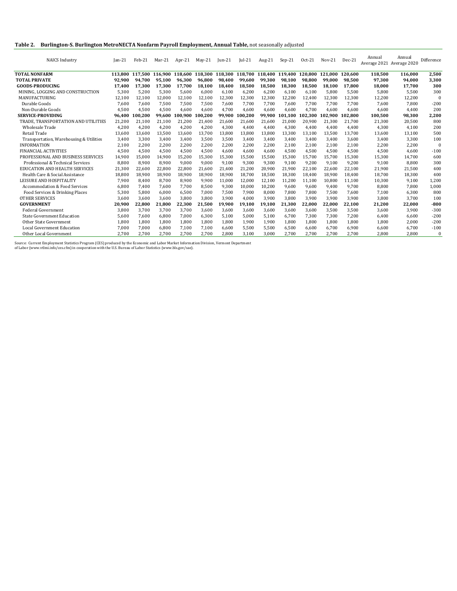#### **Table 2. Burlington-S. Burlington MetroNECTA Nonfarm Payroll Employment, Annual Table,** not seasonally adjusted

| <b>NAICS Industry</b>                    | $Ian-21$ | Feb-21  | Mar-21  | Apr- $21$ | $May-21$ | $[un-21]$       | $ ul-21$ | Aug-21  | $Sep-21$ | $Oct-21$ | $Nov-21$ | $Dec-21$ | Annual<br>Average 2021 Average 2020 | Annual  | Difference |
|------------------------------------------|----------|---------|---------|-----------|----------|-----------------|----------|---------|----------|----------|----------|----------|-------------------------------------|---------|------------|
| <b>TOTAL NONFARM</b>                     | 113.800  | 117.500 | 116.900 | 118.600   | 118.300  | 118.300 118.700 |          | 118.400 | 119.400  | 120.800  | 121.000  | 120.600  | 118,500                             | 116,000 | 2,500      |
| <b>TOTAL PRIVATE</b>                     | 92.900   | 94,700  | 95.100  | 96.300    | 96.800   | 98.400          | 99.600   | 99.300  | 98.100   | 98.800   | 99.000   | 98.500   | 97.300                              | 94,000  | 3,300      |
| GOODS-PRODUCING                          | 17.400   | 17.300  | 17.300  | 17.700    | 18.100   | 18.400          | 18.500   | 18.500  | 18.300   | 18.500   | 18.100   | 17.800   | 18.000                              | 17.700  | 300        |
| MINING, LOGGING AND CONSTRUCTION         | 5,300    | 5,200   | 5,300   | 5,600     | 6,000    | 6,100           | 6,200    | 6,200   | 6,100    | 6,100    | 5,800    | 5,500    | 5,800                               | 5,500   | 300        |
| MANUFACTURING                            | 12,100   | 12,100  | 12,000  | 12,100    | 12,100   | 12,300          | 12,300   | 12,300  | 12,200   | 12,400   | 12,300   | 12,300   | 12,200                              | 12,200  | $\Omega$   |
| Durable Goods                            | 7.600    | 7.600   | 7,500   | 7.500     | 7.500    | 7.600           | 7.700    | 7.700   | 7.600    | 7.700    | 7.700    | 7.700    | 7.600                               | 7.800   | $-200$     |
| Non-Durable Goods                        | 4.500    | 4.500   | 4,500   | 4.600     | 4.600    | 4,700           | 4.600    | 4.600   | 4.600    | 4.700    | 4.600    | 4.600    | 4.600                               | 4.400   | 200        |
| <b>SERVICE-PROVIDING</b>                 | 96.400   | 100.200 | 99,600  | 100.900   | 100.200  | 99.900          | 100.200  | 99.900  | 101.100  | 102.300  | 102.900  | 02.800   | 100.500                             | 98,300  | 2,200      |
| TRADE. TRANSPORTATION AND UTILITIES      | 21,200   | 21,100  | 21,100  | 21,200    | 21.400   | 21.600          | 21,600   | 21,600  | 21,000   | 20,900   | 21.300   | 21.700   | 21,300                              | 20,500  | 800        |
| <b>Wholesale Trade</b>                   | 4.200    | 4.200   | 4.200   | 4.200     | 4.200    | 4.300           | 4.400    | 4.400   | 4.300    | 4.400    | 4.400    | 4.400    | 4,300                               | 4.100   | 200        |
| Retail Trade                             | 13,600   | 13,600  | 13,500  | 13,600    | 13.700   | 13,800          | 13,800   | 13,800  | 13,300   | 13,100   | 13,500   | 13.700   | 13,600                              | 13,100  | 500        |
| Transportation, Warehousing & Utilities  | 3.400    | 3,300   | 3,400   | 3,400     | 3,500    | 3,500           | 3.400    | 3,400   | 3,400    | 3,400    | 3.400    | 3.600    | 3.400                               | 3.300   | 100        |
| <b>INFORMATION</b>                       | 2.100    | 2.200   | 2,200   | 2,200     | 2.200    | 2.200           | 2.200    | 2,200   | 2,100    | 2,100    | 2,100    | 2.100    | 2,200                               | 2.200   | $\Omega$   |
| <b>FINANCIAL ACTIVITIES</b>              | 4,500    | 4,500   | 4,500   | 4,500     | 4,500    | 4,600           | 4.600    | 4,600   | 4,500    | 4,500    | 4,500    | 4.500    | 4,500                               | 4,600   | $-100$     |
| PROFESSIONAL AND BUSINESS SERVICES       | 14,900   | 15,000  | 14,900  | 15,200    | 15,300   | 15,300          | 15,500   | 15,500  | 15,300   | 15,700   | 15,700   | 15,300   | 15,300                              | 14,700  | 600        |
| Professional & Technical Services        | 8.800    | 8.900   | 8.900   | 9.000     | 9.000    | 9.100           | 9,300    | 9,300   | 9,100    | 9.200    | 9.100    | 9.200    | 9.100                               | 8.800   | 300        |
| <b>EDUCATION AND HEALTH SERVICES</b>     | 21,300   | 22,600  | 22,800  | 22,800    | 21,600   | 21.400          | 21,200   | 20,900  | 21,900   | 22,100   | 22,600   | 22,100   | 21,900                              | 21,500  | 400        |
| Health Care & Social Assistance          | 18.800   | 18,900  | 18,900  | 18,900    | 18,900   | 18.900          | 18.700   | 18,500  | 18,300   | 18,400   | 18,900   | 18.400   | 18,700                              | 18,300  | 400        |
| LEISURE AND HOSPITALITY                  | 7.900    | 8.400   | 8.700   | 8.900     | 9.900    | 11.000          | 12.000   | 12,100  | 11,200   | 11.100   | 10.800   | 11.100   | 10,300                              | 9.100   | 1,200      |
| <b>Accommodation &amp; Food Services</b> | 6.800    | 7.400   | 7,600   | 7.700     | 8,500    | 9.300           | 10.000   | 10,200  | 9,600    | 9.600    | 9.400    | 9.700    | 8,800                               | 7.800   | 1,000      |
| Food Services & Drinking Places          | 5,300    | 5,800   | 6,000   | 6,500     | 7,000    | 7,500           | 7,900    | 8,000   | 7,800    | 7,800    | 7,500    | 7,600    | 7,100                               | 6,300   | 800        |
| <b>OTHER SERVICES</b>                    | 3.600    | 3.600   | 3,600   | 3,800     | 3.800    | 3.900           | 4.000    | 3,900   | 3.800    | 3,900    | 3,900    | 3.900    | 3,800                               | 3,700   | 100        |
| <b>GOVERNMENT</b>                        | 20.900   | 22,800  | 21,800  | 22,300    | 21,500   | 19,900          | 19.100   | 19.100  | 21.300   | 22,000   | 22,000   | 22.100   | 21,200                              | 22,000  | $-800$     |
| <b>Federal Government</b>                | 3.800    | 3,700   | 3,700   | 3,700     | 3,600    | 3,600           | 3.600    | 3,600   | 3,600    | 3,600    | 3,500    | 3,500    | 3,600                               | 3,900   | $-300$     |
| State Government Education               | 5.600    | 7.600   | 6,800   | 7.000     | 6,300    | 5,100           | 5,000    | 5.100   | 6,700    | 7,300    | 7,300    | 7.200    | 6.400                               | 6.600   | $-200$     |
| Other State Government                   | 1.800    | 1.800   | 1,800   | 1.800     | 1.800    | 1.800           | 1.900    | 1.900   | 1,800    | 1,800    | 1.800    | 1.800    | 1,800                               | 2,000   | $-200$     |
| Local Government Education               | 7,000    | 7,000   | 6,800   | 7,100     | 7,100    | 6,600           | 5,500    | 5,500   | 6,500    | 6,600    | 6,700    | 6,900    | 6,600                               | 6,700   | $-100$     |
| Other Local Government                   | 2.700    | 2.700   | 2.700   | 2.700     | 2.700    | 2.800           | 3.100    | 3.000   | 2.700    | 2.700    | 2.700    | 2.700    | 2.800                               | 2.800   | $\Omega$   |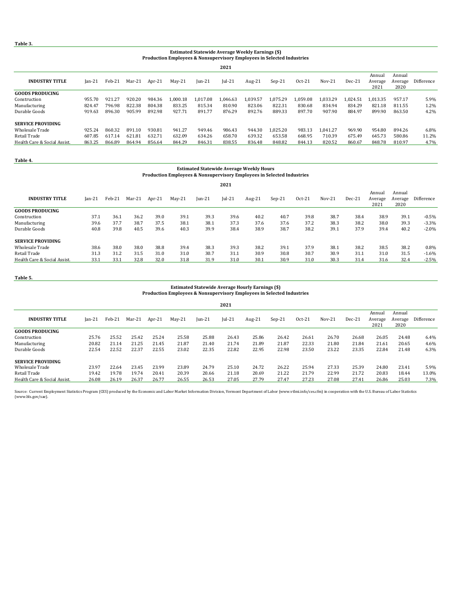#### **Table 3.**

#### **Estimated Statewide Average Weekly Earnings (\$) Production Employees & Nonsupervisory Employees in Selected Industries**

|                              |          |        |        |           |          |              | 2021     |          |          |          |          |          |                           |                           |            |
|------------------------------|----------|--------|--------|-----------|----------|--------------|----------|----------|----------|----------|----------|----------|---------------------------|---------------------------|------------|
| <b>INDUSTRY TITLE</b>        | $Ian-21$ | Feb-21 | Mar-21 | Apr- $21$ | $May-21$ | $I$ un- $21$ | $Iul-21$ | Aug-21   | $Sep-21$ | $Oct-21$ | $Nov-21$ | $Dec-21$ | Annual<br>Average<br>2021 | Annual<br>Average<br>2020 | Difference |
| <b>GOODS PRODUCING</b>       |          |        |        |           |          |              |          |          |          |          |          |          |                           |                           |            |
| Construction                 | 955.70   | 921.27 | 920.20 | 984.36    | 1.000.18 | 1.017.08     | 1.046.63 | 1.039.57 | 1.075.29 | 1.059.08 | 1.033.29 | 1.024.51 | 1.013.35                  | 957.17                    | 5.9%       |
| Manufacturing                | 824.47   | 796.98 | 822.38 | 804.38    | 833.25   | 815.34       | 810.90   | 823.06   | 822.31   | 830.68   | 834.94   | 834.29   | 821.18                    | 811.55                    | 1.2%       |
| Durable Goods                | 919.63   | 896.30 | 905.99 | 892.98    | 927.71   | 891.77       | 876.29   | 892.76   | 889.33   | 897.70   | 907.90   | 884.97   | 899.90                    | 863.50                    | 4.2%       |
| <b>SERVICE PROVIDING</b>     |          |        |        |           |          |              |          |          |          |          |          |          |                           |                           |            |
| <b>Wholesale Trade</b>       | 925.24   | 860.32 | 891.10 | 930.81    | 941.27   | 949.46       | 986.43   | 944.30   | 1.025.20 | 983.13   | 1.041.27 | 969.90   | 954.80                    | 894.26                    | 6.8%       |
| Retail Trade                 | 607.85   | 617.14 | 621.81 | 632.71    | 632.09   | 634.26       | 658.70   | 639.32   | 653.58   | 668.95   | 710.39   | 675.49   | 645.73                    | 580.86                    | 11.2%      |
| Health Care & Social Assist. | 863.25   | 866.89 | 864.94 | 856.64    | 844.29   | 846.31       | 838.55   | 836.48   | 848.82   | 844.13   | 820.52   | 860.67   | 848.78                    | 810.97                    | 4.7%       |

#### **Table 4.**

|                              | <b>Estimated Statewide Average Weekly Hours</b><br><b>Production Employees &amp; Nonsupervisory Employees in Selected Industries</b> |        |        |        |          |           |          |        |          |        |          |          |                           |                           |            |
|------------------------------|--------------------------------------------------------------------------------------------------------------------------------------|--------|--------|--------|----------|-----------|----------|--------|----------|--------|----------|----------|---------------------------|---------------------------|------------|
|                              |                                                                                                                                      |        |        |        |          |           | 2021     |        |          |        |          |          |                           |                           |            |
| <b>INDUSTRY TITLE</b>        | $Jan-21$                                                                                                                             | Feb-21 | Mar-21 | Apr-21 | $May-21$ | $[un-21]$ | $ ul-21$ | Aug-21 | $Sep-21$ | Oct-21 | $Nov-21$ | $Dec-21$ | Annual<br>Average<br>2021 | Annual<br>Average<br>2020 | Difference |
| <b>GOODS PRODUCING</b>       |                                                                                                                                      |        |        |        |          |           |          |        |          |        |          |          |                           |                           |            |
| Construction                 | 37.1                                                                                                                                 | 36.1   | 36.2   | 39.0   | 39.1     | 39.3      | 39.6     | 40.2   | 40.7     | 39.8   | 38.7     | 38.4     | 38.9                      | 39.1                      | $-0.5%$    |
| Manufacturing                | 39.6                                                                                                                                 | 37.7   | 38.7   | 37.5   | 38.1     | 38.1      | 37.3     | 37.6   | 37.6     | 37.2   | 38.3     | 38.2     | 38.0                      | 39.3                      | $-3.3%$    |
| Durable Goods                | 40.8                                                                                                                                 | 39.8   | 40.5   | 39.6   | 40.3     | 39.9      | 38.4     | 38.9   | 38.7     | 38.2   | 39.1     | 37.9     | 39.4                      | 40.2                      | $-2.0%$    |
| <b>SERVICE PROVIDING</b>     |                                                                                                                                      |        |        |        |          |           |          |        |          |        |          |          |                           |                           |            |
| Wholesale Trade              | 38.6                                                                                                                                 | 38.0   | 38.0   | 38.8   | 39.4     | 38.3      | 39.3     | 38.2   | 39.1     | 37.9   | 38.1     | 38.2     | 38.5                      | 38.2                      | $0.8\%$    |
| Retail Trade                 | 31.3                                                                                                                                 | 31.2   | 31.5   | 31.0   | 31.0     | 30.7      | 31.1     | 30.9   | 30.8     | 30.7   | 30.9     | 31.1     | 31.0                      | 31.5                      | $-1.6%$    |
| Health Care & Social Assist. | 33.1                                                                                                                                 | 33.1   | 32.8   | 32.0   | 31.8     | 31.9      | 31.0     | 30.1   | 30.9     | 31.0   | 30.3     | 31.4     | 31.6                      | 32.4                      | $-2.5%$    |

#### **Table 5.**

#### **Estimated Statewide Average Hourly Earnings (\$) Production Employees & Nonsupervisory Employees in Selected Industries**

|                              |          |        |        |           |          |           | 2021     |        |          |          |          |          |         |         |            |
|------------------------------|----------|--------|--------|-----------|----------|-----------|----------|--------|----------|----------|----------|----------|---------|---------|------------|
|                              |          |        |        |           |          |           |          |        |          |          |          |          | Annual  | Annual  |            |
| <b>INDUSTRY TITLE</b>        | $Jan-21$ | Feb-21 | Mar-21 | Apr- $21$ | $May-21$ | $[un-21]$ | $ ul-21$ | Aug-21 | $Sep-21$ | $Oct-21$ | $Nov-21$ | $Dec-21$ | Average | Average | Difference |
|                              |          |        |        |           |          |           |          |        |          |          |          |          | 2021    | 2020    |            |
| <b>GOODS PRODUCING</b>       |          |        |        |           |          |           |          |        |          |          |          |          |         |         |            |
| Construction                 | 25.76    | 25.52  | 25.42  | 25.24     | 25.58    | 25.88     | 26.43    | 25.86  | 26.42    | 26.61    | 26.70    | 26.68    | 26.05   | 24.48   | 6.4%       |
| Manufacturing                | 20.82    | 21.14  | 21.25  | 21.45     | 21.87    | 21.40     | 21.74    | 21.89  | 21.87    | 22.33    | 21.80    | 21.84    | 21.61   | 20.65   | 4.6%       |
| Durable Goods                | 22.54    | 22.52  | 22.37  | 22.55     | 23.02    | 22.35     | 22.82    | 22.95  | 22.98    | 23.50    | 23.22    | 23.35    | 22.84   | 21.48   | 6.3%       |
| <b>SERVICE PROVIDING</b>     |          |        |        |           |          |           |          |        |          |          |          |          |         |         |            |
| Wholesale Trade              | 23.97    | 22.64  | 23.45  | 23.99     | 23.89    | 24.79     | 25.10    | 24.72  | 26.22    | 25.94    | 27.33    | 25.39    | 24.80   | 23.41   | 5.9%       |
| Retail Trade                 | 19.42    | 19.78  | 19.74  | 20.41     | 20.39    | 20.66     | 21.18    | 20.69  | 21.22    | 21.79    | 22.99    | 21.72    | 20.83   | 18.44   | 13.0%      |
| Health Care & Social Assist. | 26.08    | 26.19  | 26.37  | 26.77     | 26.55    | 26.53     | 27.05    | 27.79  | 27.47    | 27.23    | 27.08    | 27.41    | 26.86   | 25.03   | 7.3%       |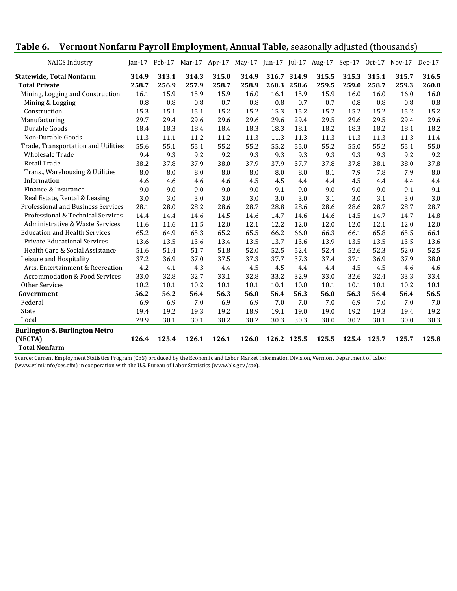| <b>NAICS Industry</b>                    |       | $Jan-17$ Feb-17 |       |       | Mar-17 Apr-17 May-17 Jun-17 Jul-17 Aug-17 |       |             |       |       |       | Sep-17 Oct-17 Nov-17 | $Dec-17$ |
|------------------------------------------|-------|-----------------|-------|-------|-------------------------------------------|-------|-------------|-------|-------|-------|----------------------|----------|
| <b>Statewide, Total Nonfarm</b>          | 314.9 | 313.1           | 314.3 | 315.0 | 314.9                                     | 316.7 | 314.9       | 315.5 | 315.3 | 315.1 | 315.7                | 316.5    |
| <b>Total Private</b>                     | 258.7 | 256.9           | 257.9 | 258.7 | 258.9                                     | 260.3 | 258.6       | 259.5 | 259.0 | 258.7 | 259.3                | 260.0    |
| Mining, Logging and Construction         | 16.1  | 15.9            | 15.9  | 15.9  | 16.0                                      | 16.1  | 15.9        | 15.9  | 16.0  | 16.0  | 16.0                 | 16.0     |
| Mining & Logging                         | 0.8   | 0.8             | 0.8   | 0.7   | 0.8                                       | 0.8   | 0.7         | 0.7   | 0.8   | 0.8   | 0.8                  | 0.8      |
| Construction                             | 15.3  | 15.1            | 15.1  | 15.2  | 15.2                                      | 15.3  | 15.2        | 15.2  | 15.2  | 15.2  | 15.2                 | 15.2     |
| Manufacturing                            | 29.7  | 29.4            | 29.6  | 29.6  | 29.6                                      | 29.6  | 29.4        | 29.5  | 29.6  | 29.5  | 29.4                 | 29.6     |
| Durable Goods                            | 18.4  | 18.3            | 18.4  | 18.4  | 18.3                                      | 18.3  | 18.1        | 18.2  | 18.3  | 18.2  | 18.1                 | 18.2     |
| Non-Durable Goods                        | 11.3  | 11.1            | 11.2  | 11.2  | 11.3                                      | 11.3  | 11.3        | 11.3  | 11.3  | 11.3  | 11.3                 | 11.4     |
| Trade, Transportation and Utilities      | 55.6  | 55.1            | 55.1  | 55.2  | 55.2                                      | 55.2  | 55.0        | 55.2  | 55.0  | 55.2  | 55.1                 | 55.0     |
| <b>Wholesale Trade</b>                   | 9.4   | 9.3             | 9.2   | 9.2   | 9.3                                       | 9.3   | 9.3         | 9.3   | 9.3   | 9.3   | 9.2                  | 9.2      |
| Retail Trade                             | 38.2  | 37.8            | 37.9  | 38.0  | 37.9                                      | 37.9  | 37.7        | 37.8  | 37.8  | 38.1  | 38.0                 | 37.8     |
| Trans., Warehousing & Utilities          | 8.0   | 8.0             | 8.0   | 8.0   | 8.0                                       | 8.0   | 8.0         | 8.1   | 7.9   | 7.8   | 7.9                  | 8.0      |
| Information                              | 4.6   | 4.6             | 4.6   | 4.6   | 4.5                                       | 4.5   | 4.4         | 4.4   | 4.5   | 4.4   | 4.4                  | 4.4      |
| Finance & Insurance                      | 9.0   | 9.0             | 9.0   | 9.0   | 9.0                                       | 9.1   | 9.0         | 9.0   | 9.0   | 9.0   | 9.1                  | 9.1      |
| Real Estate, Rental & Leasing            | 3.0   | 3.0             | 3.0   | 3.0   | 3.0                                       | 3.0   | 3.0         | 3.1   | 3.0   | 3.1   | 3.0                  | 3.0      |
| Professional and Business Services       | 28.1  | 28.0            | 28.2  | 28.6  | 28.7                                      | 28.8  | 28.6        | 28.6  | 28.6  | 28.7  | 28.7                 | 28.7     |
| Professional & Technical Services        | 14.4  | 14.4            | 14.6  | 14.5  | 14.6                                      | 14.7  | 14.6        | 14.6  | 14.5  | 14.7  | 14.7                 | 14.8     |
| Administrative & Waste Services          | 11.6  | 11.6            | 11.5  | 12.0  | 12.1                                      | 12.2  | 12.0        | 12.0  | 12.0  | 12.1  | 12.0                 | 12.0     |
| <b>Education and Health Services</b>     | 65.2  | 64.9            | 65.3  | 65.2  | 65.5                                      | 66.2  | 66.0        | 66.3  | 66.1  | 65.8  | 65.5                 | 66.1     |
| <b>Private Educational Services</b>      | 13.6  | 13.5            | 13.6  | 13.4  | 13.5                                      | 13.7  | 13.6        | 13.9  | 13.5  | 13.5  | 13.5                 | 13.6     |
| Health Care & Social Assistance          | 51.6  | 51.4            | 51.7  | 51.8  | 52.0                                      | 52.5  | 52.4        | 52.4  | 52.6  | 52.3  | 52.0                 | 52.5     |
| Leisure and Hospitality                  | 37.2  | 36.9            | 37.0  | 37.5  | 37.3                                      | 37.7  | 37.3        | 37.4  | 37.1  | 36.9  | 37.9                 | 38.0     |
| Arts, Entertainment & Recreation         | 4.2   | 4.1             | 4.3   | 4.4   | 4.5                                       | 4.5   | 4.4         | 4.4   | 4.5   | 4.5   | 4.6                  | 4.6      |
| <b>Accommodation &amp; Food Services</b> | 33.0  | 32.8            | 32.7  | 33.1  | 32.8                                      | 33.2  | 32.9        | 33.0  | 32.6  | 32.4  | 33.3                 | 33.4     |
| <b>Other Services</b>                    | 10.2  | 10.1            | 10.2  | 10.1  | 10.1                                      | 10.1  | 10.0        | 10.1  | 10.1  | 10.1  | 10.2                 | 10.1     |
| Government                               | 56.2  | 56.2            | 56.4  | 56.3  | 56.0                                      | 56.4  | 56.3        | 56.0  | 56.3  | 56.4  | 56.4                 | 56.5     |
| Federal                                  | 6.9   | 6.9             | 7.0   | 6.9   | 6.9                                       | 7.0   | 7.0         | 7.0   | 6.9   | 7.0   | 7.0                  | 7.0      |
| State                                    | 19.4  | 19.2            | 19.3  | 19.2  | 18.9                                      | 19.1  | 19.0        | 19.0  | 19.2  | 19.3  | 19.4                 | 19.2     |
| Local                                    | 29.9  | 30.1            | 30.1  | 30.2  | 30.2                                      | 30.3  | 30.3        | 30.0  | 30.2  | 30.1  | 30.0                 | 30.3     |
| <b>Burlington-S. Burlington Metro</b>    |       |                 |       |       |                                           |       |             |       |       |       |                      |          |
| (NECTA)                                  | 126.4 | 125.4           | 126.1 | 126.1 | 126.0                                     |       | 126.2 125.5 | 125.5 | 125.4 | 125.7 | 125.7                | 125.8    |
| <b>Total Nonfarm</b>                     |       |                 |       |       |                                           |       |             |       |       |       |                      |          |

# **Table 6. Vermont Nonfarm Payroll Employment, Annual Table,** seasonally adjusted (thousands)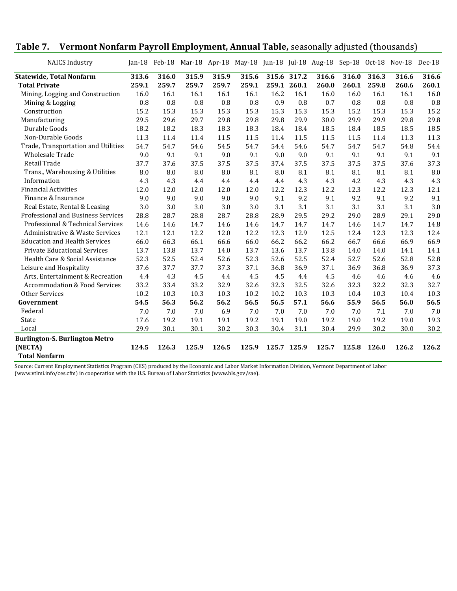| <b>NAICS Industry</b>                    | $Jan-18$ | Feb-18 |       |       | Mar-18 Apr-18 May-18 Jun-18 Jul-18 Aug-18 Sep-18 Oct-18 Nov-18 |       |             |       |       |       |       | Dec-18 |
|------------------------------------------|----------|--------|-------|-------|----------------------------------------------------------------|-------|-------------|-------|-------|-------|-------|--------|
| <b>Statewide, Total Nonfarm</b>          | 313.6    | 316.0  | 315.9 | 315.9 | 315.6                                                          |       | 315.6 317.2 | 316.6 | 316.0 | 316.3 | 316.6 | 316.6  |
| <b>Total Private</b>                     | 259.1    | 259.7  | 259.7 | 259.7 | 259.1                                                          | 259.1 | 260.1       | 260.0 | 260.1 | 259.8 | 260.6 | 260.1  |
| Mining, Logging and Construction         | 16.0     | 16.1   | 16.1  | 16.1  | 16.1                                                           | 16.2  | 16.1        | 16.0  | 16.0  | 16.1  | 16.1  | 16.0   |
| Mining & Logging                         | 0.8      | 0.8    | 0.8   | 0.8   | 0.8                                                            | 0.9   | 0.8         | 0.7   | 0.8   | 0.8   | 0.8   | 0.8    |
| Construction                             | 15.2     | 15.3   | 15.3  | 15.3  | 15.3                                                           | 15.3  | 15.3        | 15.3  | 15.2  | 15.3  | 15.3  | 15.2   |
| Manufacturing                            | 29.5     | 29.6   | 29.7  | 29.8  | 29.8                                                           | 29.8  | 29.9        | 30.0  | 29.9  | 29.9  | 29.8  | 29.8   |
| Durable Goods                            | 18.2     | 18.2   | 18.3  | 18.3  | 18.3                                                           | 18.4  | 18.4        | 18.5  | 18.4  | 18.5  | 18.5  | 18.5   |
| Non-Durable Goods                        | 11.3     | 11.4   | 11.4  | 11.5  | 11.5                                                           | 11.4  | 11.5        | 11.5  | 11.5  | 11.4  | 11.3  | 11.3   |
| Trade, Transportation and Utilities      | 54.7     | 54.7   | 54.6  | 54.5  | 54.7                                                           | 54.4  | 54.6        | 54.7  | 54.7  | 54.7  | 54.8  | 54.4   |
| <b>Wholesale Trade</b>                   | 9.0      | 9.1    | 9.1   | 9.0   | 9.1                                                            | 9.0   | 9.0         | 9.1   | 9.1   | 9.1   | 9.1   | 9.1    |
| Retail Trade                             | 37.7     | 37.6   | 37.5  | 37.5  | 37.5                                                           | 37.4  | 37.5        | 37.5  | 37.5  | 37.5  | 37.6  | 37.3   |
| Trans., Warehousing & Utilities          | 8.0      | 8.0    | 8.0   | 8.0   | 8.1                                                            | 8.0   | 8.1         | 8.1   | 8.1   | 8.1   | 8.1   | 8.0    |
| Information                              | 4.3      | 4.3    | 4.4   | 4.4   | 4.4                                                            | 4.4   | 4.3         | 4.3   | 4.2   | 4.3   | 4.3   | 4.3    |
| <b>Financial Activities</b>              | 12.0     | 12.0   | 12.0  | 12.0  | 12.0                                                           | 12.2  | 12.3        | 12.2  | 12.3  | 12.2  | 12.3  | 12.1   |
| Finance & Insurance                      | 9.0      | 9.0    | 9.0   | 9.0   | 9.0                                                            | 9.1   | 9.2         | 9.1   | 9.2   | 9.1   | 9.2   | 9.1    |
| Real Estate, Rental & Leasing            | 3.0      | 3.0    | 3.0   | 3.0   | 3.0                                                            | 3.1   | 3.1         | 3.1   | 3.1   | 3.1   | 3.1   | 3.0    |
| Professional and Business Services       | 28.8     | 28.7   | 28.8  | 28.7  | 28.8                                                           | 28.9  | 29.5        | 29.2  | 29.0  | 28.9  | 29.1  | 29.0   |
| Professional & Technical Services        | 14.6     | 14.6   | 14.7  | 14.6  | 14.6                                                           | 14.7  | 14.7        | 14.7  | 14.6  | 14.7  | 14.7  | 14.8   |
| Administrative & Waste Services          | 12.1     | 12.1   | 12.2  | 12.0  | 12.2                                                           | 12.3  | 12.9        | 12.5  | 12.4  | 12.3  | 12.3  | 12.4   |
| <b>Education and Health Services</b>     | 66.0     | 66.3   | 66.1  | 66.6  | 66.0                                                           | 66.2  | 66.2        | 66.2  | 66.7  | 66.6  | 66.9  | 66.9   |
| <b>Private Educational Services</b>      | 13.7     | 13.8   | 13.7  | 14.0  | 13.7                                                           | 13.6  | 13.7        | 13.8  | 14.0  | 14.0  | 14.1  | 14.1   |
| Health Care & Social Assistance          | 52.3     | 52.5   | 52.4  | 52.6  | 52.3                                                           | 52.6  | 52.5        | 52.4  | 52.7  | 52.6  | 52.8  | 52.8   |
| Leisure and Hospitality                  | 37.6     | 37.7   | 37.7  | 37.3  | 37.1                                                           | 36.8  | 36.9        | 37.1  | 36.9  | 36.8  | 36.9  | 37.3   |
| Arts, Entertainment & Recreation         | 4.4      | 4.3    | 4.5   | 4.4   | 4.5                                                            | 4.5   | 4.4         | 4.5   | 4.6   | 4.6   | 4.6   | 4.6    |
| <b>Accommodation &amp; Food Services</b> | 33.2     | 33.4   | 33.2  | 32.9  | 32.6                                                           | 32.3  | 32.5        | 32.6  | 32.3  | 32.2  | 32.3  | 32.7   |
| Other Services                           | 10.2     | 10.3   | 10.3  | 10.3  | 10.2                                                           | 10.2  | 10.3        | 10.3  | 10.4  | 10.3  | 10.4  | 10.3   |
| Government                               | 54.5     | 56.3   | 56.2  | 56.2  | 56.5                                                           | 56.5  | 57.1        | 56.6  | 55.9  | 56.5  | 56.0  | 56.5   |
| Federal                                  | 7.0      | 7.0    | 7.0   | 6.9   | 7.0                                                            | 7.0   | 7.0         | 7.0   | 7.0   | 7.1   | 7.0   | 7.0    |
| State                                    | 17.6     | 19.2   | 19.1  | 19.1  | 19.2                                                           | 19.1  | 19.0        | 19.2  | 19.0  | 19.2  | 19.0  | 19.3   |
| Local                                    | 29.9     | 30.1   | 30.1  | 30.2  | 30.3                                                           | 30.4  | 31.1        | 30.4  | 29.9  | 30.2  | 30.0  | 30.2   |
| <b>Burlington-S. Burlington Metro</b>    |          |        |       |       |                                                                |       |             |       |       |       |       |        |
| (NECTA)                                  | 124.5    | 126.3  | 125.9 | 126.5 | 125.9                                                          |       | 125.7 125.9 | 125.7 | 125.8 | 126.0 | 126.2 | 126.2  |
| <b>Total Nonfarm</b>                     |          |        |       |       |                                                                |       |             |       |       |       |       |        |

# **Table 7. Vermont Nonfarm Payroll Employment, Annual Table,** seasonally adjusted (thousands)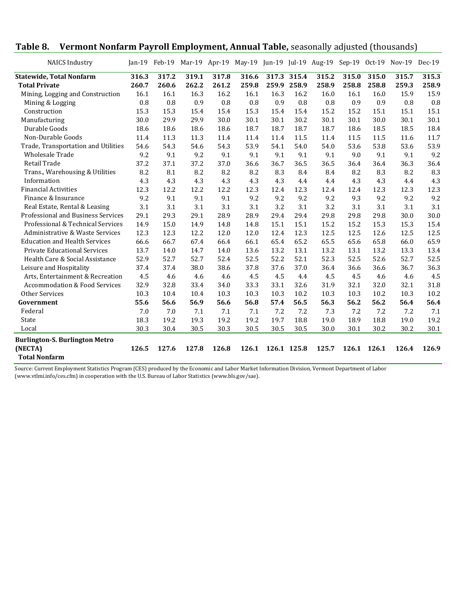| <b>NAICS Industry</b>                    | $Jan-19$ | Feb-19 | Mar-19 Apr-19 |       |       |       |             | May-19 Jun-19 Jul-19 Aug-19 Sep-19 Oct-19 |       |       | $Nov-19$ | Dec-19 |
|------------------------------------------|----------|--------|---------------|-------|-------|-------|-------------|-------------------------------------------|-------|-------|----------|--------|
| <b>Statewide, Total Nonfarm</b>          | 316.3    | 317.2  | 319.1         | 317.8 | 316.6 | 317.3 | 315.4       | 315.2                                     | 315.0 | 315.0 | 315.7    | 315.3  |
| <b>Total Private</b>                     | 260.7    | 260.6  | 262.2         | 261.2 | 259.8 | 259.9 | 258.9       | 258.9                                     | 258.8 | 258.8 | 259.3    | 258.9  |
| Mining, Logging and Construction         | 16.1     | 16.1   | 16.3          | 16.2  | 16.1  | 16.3  | 16.2        | 16.0                                      | 16.1  | 16.0  | 15.9     | 15.9   |
| Mining & Logging                         | 0.8      | 0.8    | 0.9           | 0.8   | 0.8   | 0.9   | 0.8         | 0.8                                       | 0.9   | 0.9   | 0.8      | 0.8    |
| Construction                             | 15.3     | 15.3   | 15.4          | 15.4  | 15.3  | 15.4  | 15.4        | 15.2                                      | 15.2  | 15.1  | 15.1     | 15.1   |
| Manufacturing                            | 30.0     | 29.9   | 29.9          | 30.0  | 30.1  | 30.1  | 30.2        | 30.1                                      | 30.1  | 30.0  | 30.1     | 30.1   |
| Durable Goods                            | 18.6     | 18.6   | 18.6          | 18.6  | 18.7  | 18.7  | 18.7        | 18.7                                      | 18.6  | 18.5  | 18.5     | 18.4   |
| Non-Durable Goods                        | 11.4     | 11.3   | 11.3          | 11.4  | 11.4  | 11.4  | 11.5        | 11.4                                      | 11.5  | 11.5  | 11.6     | 11.7   |
| Trade, Transportation and Utilities      | 54.6     | 54.3   | 54.6          | 54.3  | 53.9  | 54.1  | 54.0        | 54.0                                      | 53.6  | 53.8  | 53.6     | 53.9   |
| <b>Wholesale Trade</b>                   | 9.2      | 9.1    | 9.2           | 9.1   | 9.1   | 9.1   | 9.1         | 9.1                                       | 9.0   | 9.1   | 9.1      | 9.2    |
| Retail Trade                             | 37.2     | 37.1   | 37.2          | 37.0  | 36.6  | 36.7  | 36.5        | 36.5                                      | 36.4  | 36.4  | 36.3     | 36.4   |
| Trans., Warehousing & Utilities          | 8.2      | 8.1    | 8.2           | 8.2   | 8.2   | 8.3   | 8.4         | 8.4                                       | 8.2   | 8.3   | 8.2      | 8.3    |
| Information                              | 4.3      | 4.3    | 4.3           | 4.3   | 4.3   | 4.3   | 4.4         | 4.4                                       | 4.3   | 4.3   | 4.4      | 4.3    |
| <b>Financial Activities</b>              | 12.3     | 12.2   | 12.2          | 12.2  | 12.3  | 12.4  | 12.3        | 12.4                                      | 12.4  | 12.3  | 12.3     | 12.3   |
| Finance & Insurance                      | 9.2      | 9.1    | 9.1           | 9.1   | 9.2   | 9.2   | 9.2         | 9.2                                       | 9.3   | 9.2   | 9.2      | 9.2    |
| Real Estate, Rental & Leasing            | 3.1      | 3.1    | 3.1           | 3.1   | 3.1   | 3.2   | 3.1         | 3.2                                       | 3.1   | 3.1   | 3.1      | 3.1    |
| Professional and Business Services       | 29.1     | 29.3   | 29.1          | 28.9  | 28.9  | 29.4  | 29.4        | 29.8                                      | 29.8  | 29.8  | 30.0     | 30.0   |
| Professional & Technical Services        | 14.9     | 15.0   | 14.9          | 14.8  | 14.8  | 15.1  | 15.1        | 15.2                                      | 15.2  | 15.3  | 15.3     | 15.4   |
| Administrative & Waste Services          | 12.3     | 12.3   | 12.2          | 12.0  | 12.0  | 12.4  | 12.3        | 12.5                                      | 12.5  | 12.6  | 12.5     | 12.5   |
| <b>Education and Health Services</b>     | 66.6     | 66.7   | 67.4          | 66.4  | 66.1  | 65.4  | 65.2        | 65.5                                      | 65.6  | 65.8  | 66.0     | 65.9   |
| <b>Private Educational Services</b>      | 13.7     | 14.0   | 14.7          | 14.0  | 13.6  | 13.2  | 13.1        | 13.2                                      | 13.1  | 13.2  | 13.3     | 13.4   |
| Health Care & Social Assistance          | 52.9     | 52.7   | 52.7          | 52.4  | 52.5  | 52.2  | 52.1        | 52.3                                      | 52.5  | 52.6  | 52.7     | 52.5   |
| Leisure and Hospitality                  | 37.4     | 37.4   | 38.0          | 38.6  | 37.8  | 37.6  | 37.0        | 36.4                                      | 36.6  | 36.6  | 36.7     | 36.3   |
| Arts, Entertainment & Recreation         | 4.5      | 4.6    | 4.6           | 4.6   | 4.5   | 4.5   | 4.4         | 4.5                                       | 4.5   | 4.6   | 4.6      | 4.5    |
| <b>Accommodation &amp; Food Services</b> | 32.9     | 32.8   | 33.4          | 34.0  | 33.3  | 33.1  | 32.6        | 31.9                                      | 32.1  | 32.0  | 32.1     | 31.8   |
| <b>Other Services</b>                    | 10.3     | 10.4   | 10.4          | 10.3  | 10.3  | 10.3  | 10.2        | 10.3                                      | 10.3  | 10.2  | 10.3     | 10.2   |
| Government                               | 55.6     | 56.6   | 56.9          | 56.6  | 56.8  | 57.4  | 56.5        | 56.3                                      | 56.2  | 56.2  | 56.4     | 56.4   |
| Federal                                  | 7.0      | 7.0    | 7.1           | 7.1   | 7.1   | 7.2   | 7.2         | 7.3                                       | 7.2   | 7.2   | 7.2      | 7.1    |
| State                                    | 18.3     | 19.2   | 19.3          | 19.2  | 19.2  | 19.7  | 18.8        | 19.0                                      | 18.9  | 18.8  | 19.0     | 19.2   |
| Local                                    | 30.3     | 30.4   | 30.5          | 30.3  | 30.5  | 30.5  | 30.5        | 30.0                                      | 30.1  | 30.2  | 30.2     | 30.1   |
| <b>Burlington-S. Burlington Metro</b>    |          |        |               |       |       |       |             |                                           |       |       |          |        |
| (NECTA)                                  | 126.5    | 127.6  | 127.8         | 126.8 | 126.1 |       | 126.1 125.8 | 125.7                                     | 126.1 | 126.1 | 126.4    | 126.9  |
| <b>Total Nonfarm</b>                     |          |        |               |       |       |       |             |                                           |       |       |          |        |

# **Table 8. Vermont Nonfarm Payroll Employment, Annual Table,** seasonally adjusted (thousands)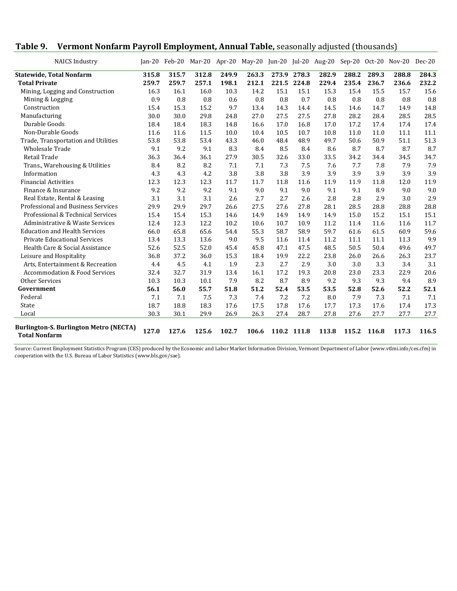|  | Table 9. Vermont Nonfarm Payroll Employment, Annual Table, seasonally adjusted (thousands) |  |  |  |  |  |
|--|--------------------------------------------------------------------------------------------|--|--|--|--|--|
|--|--------------------------------------------------------------------------------------------|--|--|--|--|--|

| <b>NAICS Industry</b>                                                 |       |       |       |       | Jan-20 Feb-20 Mar-20 Apr-20 May-20 Jun-20 Jul-20 Aug-20 Sep-20 Oct-20 Nov-20 |       |             |       |       |       |       | Dec-20 |
|-----------------------------------------------------------------------|-------|-------|-------|-------|------------------------------------------------------------------------------|-------|-------------|-------|-------|-------|-------|--------|
| <b>Statewide, Total Nonfarm</b>                                       | 315.8 | 315.7 | 312.8 | 249.9 | 263.3                                                                        | 273.9 | 278.3       | 282.9 | 288.2 | 289.3 | 288.8 | 284.3  |
| <b>Total Private</b>                                                  | 259.7 | 259.7 | 257.1 | 198.1 | 212.1                                                                        | 221.5 | 224.8       | 229.4 | 235.4 | 236.7 | 236.6 | 232.2  |
| Mining, Logging and Construction                                      | 16.3  | 16.1  | 16.0  | 10.3  | 14.2                                                                         | 15.1  | 15.1        | 15.3  | 15.4  | 15.5  | 15.7  | 15.6   |
| Mining & Logging                                                      | 0.9   | 0.8   | 0.8   | 0.6   | 0.8                                                                          | 0.8   | 0.7         | 0.8   | 0.8   | 0.8   | 0.8   | 0.8    |
| Construction                                                          | 15.4  | 15.3  | 15.2  | 9.7   | 13.4                                                                         | 14.3  | 14.4        | 14.5  | 14.6  | 14.7  | 14.9  | 14.8   |
| Manufacturing                                                         | 30.0  | 30.0  | 29.8  | 24.8  | 27.0                                                                         | 27.5  | 27.5        | 27.8  | 28.2  | 28.4  | 28.5  | 28.5   |
| Durable Goods                                                         | 18.4  | 18.4  | 18.3  | 14.8  | 16.6                                                                         | 17.0  | 16.8        | 17.0  | 17.2  | 17.4  | 17.4  | 17.4   |
| Non-Durable Goods                                                     | 11.6  | 11.6  | 11.5  | 10.0  | 10.4                                                                         | 10.5  | 10.7        | 10.8  | 11.0  | 11.0  | 11.1  | 11.1   |
| Trade, Transportation and Utilities                                   | 53.8  | 53.8  | 53.4  | 43.3  | 46.0                                                                         | 48.4  | 48.9        | 49.7  | 50.6  | 50.9  | 51.1  | 51.3   |
| <b>Wholesale Trade</b>                                                | 9.1   | 9.2   | 9.1   | 8.3   | 8.4                                                                          | 8.5   | 8.4         | 8.6   | 8.7   | 8.7   | 8.7   | 8.7    |
| Retail Trade                                                          | 36.3  | 36.4  | 36.1  | 27.9  | 30.5                                                                         | 32.6  | 33.0        | 33.5  | 34.2  | 34.4  | 34.5  | 34.7   |
| Trans., Warehousing & Utilities                                       | 8.4   | 8.2   | 8.2   | 7.1   | 7.1                                                                          | 7.3   | 7.5         | 7.6   | 7.7   | 7.8   | 7.9   | 7.9    |
| Information                                                           | 4.3   | 4.3   | 4.2   | 3.8   | 3.8                                                                          | 3.8   | 3.9         | 3.9   | 3.9   | 3.9   | 3.9   | 3.9    |
| <b>Financial Activities</b>                                           | 12.3  | 12.3  | 12.3  | 11.7  | 11.7                                                                         | 11.8  | 11.6        | 11.9  | 11.9  | 11.8  | 12.0  | 11.9   |
| Finance & Insurance                                                   | 9.2   | 9.2   | 9.2   | 9.1   | 9.0                                                                          | 9.1   | 9.0         | 9.1   | 9.1   | 8.9   | 9.0   | 9.0    |
| Real Estate, Rental & Leasing                                         | 3.1   | 3.1   | 3.1   | 2.6   | 2.7                                                                          | 2.7   | 2.6         | 2.8   | 2.8   | 2.9   | 3.0   | 2.9    |
| <b>Professional and Business Services</b>                             | 29.9  | 29.9  | 29.7  | 26.6  | 27.5                                                                         | 27.6  | 27.8        | 28.1  | 28.5  | 28.8  | 28.8  | 28.8   |
| Professional & Technical Services                                     | 15.4  | 15.4  | 15.3  | 14.6  | 14.9                                                                         | 14.9  | 14.9        | 14.9  | 15.0  | 15.2  | 15.1  | 15.1   |
| Administrative & Waste Services                                       | 12.4  | 12.3  | 12.2  | 10.2  | 10.6                                                                         | 10.7  | 10.9        | 11.2  | 11.4  | 11.6  | 11.6  | 11.7   |
| <b>Education and Health Services</b>                                  | 66.0  | 65.8  | 65.6  | 54.4  | 55.3                                                                         | 58.7  | 58.9        | 59.7  | 61.6  | 61.5  | 60.9  | 59.6   |
| <b>Private Educational Services</b>                                   | 13.4  | 13.3  | 13.6  | 9.0   | 9.5                                                                          | 11.6  | 11.4        | 11.2  | 11.1  | 11.1  | 11.3  | 9.9    |
| Health Care & Social Assistance                                       | 52.6  | 52.5  | 52.0  | 45.4  | 45.8                                                                         | 47.1  | 47.5        | 48.5  | 50.5  | 50.4  | 49.6  | 49.7   |
| Leisure and Hospitality                                               | 36.8  | 37.2  | 36.0  | 15.3  | 18.4                                                                         | 19.9  | 22.2        | 23.8  | 26.0  | 26.6  | 26.3  | 23.7   |
| Arts, Entertainment & Recreation                                      | 4.4   | 4.5   | 4.1   | 1.9   | 2.3                                                                          | 2.7   | 2.9         | 3.0   | 3.0   | 3.3   | 3.4   | 3.1    |
| <b>Accommodation &amp; Food Services</b>                              | 32.4  | 32.7  | 31.9  | 13.4  | 16.1                                                                         | 17.2  | 19.3        | 20.8  | 23.0  | 23.3  | 22.9  | 20.6   |
| Other Services                                                        | 10.3  | 10.3  | 10.1  | 7.9   | 8.2                                                                          | 8.7   | 8.9         | 9.2   | 9.3   | 9.3   | 9.4   | 8.9    |
| Government                                                            | 56.1  | 56.0  | 55.7  | 51.8  | 51.2                                                                         | 52.4  | 53.5        | 53.5  | 52.8  | 52.6  | 52.2  | 52.1   |
| Federal                                                               | 7.1   | 7.1   | 7.5   | 7.3   | 7.4                                                                          | 7.2   | 7.2         | 8.0   | 7.9   | 7.3   | 7.1   | 7.1    |
| State                                                                 | 18.7  | 18.8  | 18.3  | 17.6  | 17.5                                                                         | 17.8  | 17.6        | 17.7  | 17.3  | 17.6  | 17.4  | 17.3   |
| Local                                                                 | 30.3  | 30.1  | 29.9  | 26.9  | 26.3                                                                         | 27.4  | 28.7        | 27.8  | 27.6  | 27.7  | 27.7  | 27.7   |
| <b>Burlington-S. Burlington Metro (NECTA)</b><br><b>Total Nonfarm</b> | 127.0 | 127.6 | 125.6 | 102.7 | 106.6                                                                        |       | 110.2 111.8 | 113.8 | 115.2 | 116.8 | 117.3 | 116.5  |